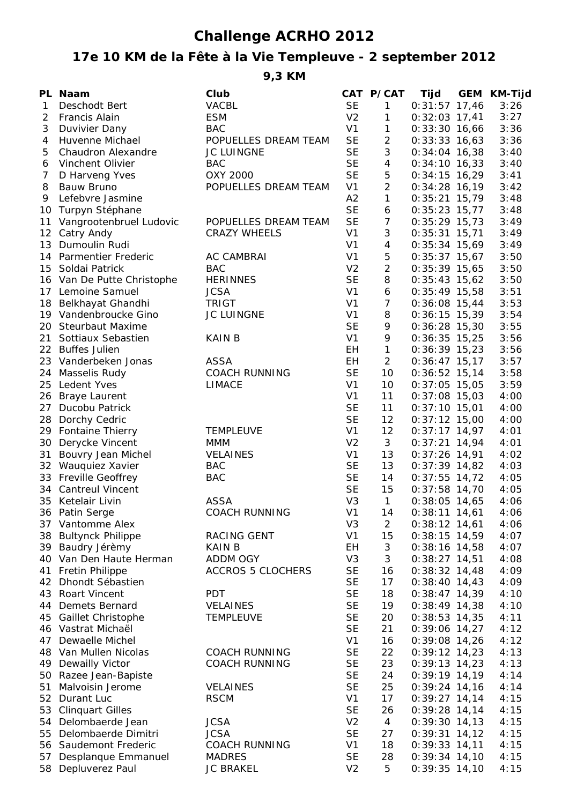## **Challenge ACRHO 2012**

## **17e 10 KM de la Fête à la Vie Templeuve - 2 september 2012**

**9,3 KM**

|    | PL Naam                    | Club                     |                | CAT P/CAT      | Tijd            | <b>GEM KM-Tijd</b> |
|----|----------------------------|--------------------------|----------------|----------------|-----------------|--------------------|
| 1  | Deschodt Bert              | <b>VACBL</b>             | <b>SE</b>      | $\mathbf{1}$   | $0:31:57$ 17,46 | 3:26               |
| 2  | Francis Alain              | <b>ESM</b>               | V <sub>2</sub> | 1              | $0:32:03$ 17,41 | 3:27               |
| 3  | Duvivier Dany              | <b>BAC</b>               | V <sub>1</sub> | 1              | $0:33:30$ 16,66 | 3:36               |
| 4  | Huvenne Michael            | POPUELLES DREAM TEAM     | <b>SE</b>      | $\overline{2}$ | $0:33:33$ 16,63 | 3:36               |
| 5  | Chaudron Alexandre         | <b>JC LUINGNE</b>        | <b>SE</b>      | 3              | $0:34:04$ 16,38 | 3:40               |
| 6  | Vinchent Olivier           | <b>BAC</b>               | <b>SE</b>      | 4              | $0:34:10$ 16,33 | 3:40               |
| 7  | D Harveng Yves             | OXY 2000                 | <b>SE</b>      | 5              | $0:34:15$ 16,29 | 3:41               |
| 8  | <b>Bauw Bruno</b>          | POPUELLES DREAM TEAM     | V <sub>1</sub> | $\overline{2}$ | $0:34:28$ 16,19 | 3:42               |
| 9  | Lefebvre Jasmine           |                          | A2             | 1              | $0:35:21$ 15,79 | 3:48               |
| 10 | Turpyn Stéphane            |                          | <b>SE</b>      | 6              | $0:35:23$ 15,77 | 3:48               |
| 11 | Vangrootenbruel Ludovic    | POPUELLES DREAM TEAM     | <b>SE</b>      | $\overline{7}$ | $0:35:29$ 15,73 | 3:49               |
|    | 12 Catry Andy              | <b>CRAZY WHEELS</b>      | V <sub>1</sub> | 3              | $0:35:31$ 15,71 | 3:49               |
|    | 13 Dumoulin Rudi           |                          | V <sub>1</sub> | $\overline{4}$ | $0:35:34$ 15,69 | 3:49               |
|    | 14 Parmentier Frederic     | <b>AC CAMBRAI</b>        | V <sub>1</sub> | $\mathbf 5$    | $0:35:37$ 15,67 | 3:50               |
|    | 15 Soldai Patrick          | <b>BAC</b>               | V <sub>2</sub> | $\overline{2}$ | $0:35:39$ 15,65 | 3:50               |
|    | 16 Van De Putte Christophe | <b>HERINNES</b>          | <b>SE</b>      | 8              | $0:35:43$ 15,62 | 3:50               |
|    | 17 Lemoine Samuel          | <b>JCSA</b>              | V <sub>1</sub> | 6              | $0:35:49$ 15,58 | 3:51               |
|    | 18 Belkhayat Ghandhi       | <b>TRIGT</b>             | V <sub>1</sub> | $\overline{7}$ | $0:36:08$ 15,44 | 3:53               |
|    | 19 Vandenbroucke Gino      | JC LUINGNE               | V <sub>1</sub> | 8              | $0:36:15$ 15,39 | 3:54               |
| 20 | <b>Steurbaut Maxime</b>    |                          | <b>SE</b>      | 9              | $0:36:28$ 15,30 | 3:55               |
| 21 | Sottiaux Sebastien         | <b>KAIN B</b>            | V <sub>1</sub> | 9              | $0:36:35$ 15,25 | 3:56               |
|    | 22 Buffes Julien           |                          | EH.            | $\mathbf{1}$   | $0:36:39$ 15,23 | 3:56               |
| 23 | Vanderbeken Jonas          | <b>ASSA</b>              | EH.            | $\overline{a}$ | $0:36:47$ 15,17 | 3:57               |
| 24 | Masselis Rudy              | <b>COACH RUNNING</b>     | <b>SE</b>      | 10             | $0:36:52$ 15,14 | 3:58               |
| 25 | Ledent Yves                | <b>LIMACE</b>            | V <sub>1</sub> | 10             | $0:37:05$ 15,05 | 3:59               |
| 26 | <b>Braye Laurent</b>       |                          | V <sub>1</sub> | 11             | $0:37:08$ 15,03 | 4:00               |
| 27 | Ducobu Patrick             |                          | <b>SE</b>      | 11             | $0:37:10$ 15,01 | 4:00               |
| 28 | Dorchy Cedric              |                          | <b>SE</b>      | 12             | $0:37:12$ 15,00 | 4:00               |
|    | 29 Fontaine Thierry        | <b>TEMPLEUVE</b>         | V <sub>1</sub> | 12             | $0:37:17$ 14,97 | 4:01               |
|    | 30 Derycke Vincent         | <b>MMM</b>               | V <sub>2</sub> | 3              | $0:37:21$ 14,94 | 4:01               |
| 31 | Bouvry Jean Michel         | <b>VELAINES</b>          | V <sub>1</sub> | 13             | $0:37:26$ 14,91 | 4:02               |
|    | 32 Wauquiez Xavier         | <b>BAC</b>               | <b>SE</b>      | 13             | $0:37:39$ 14,82 | 4:03               |
|    | 33 Freville Geoffrey       | <b>BAC</b>               | <b>SE</b>      | 14             | $0:37:55$ 14,72 | 4:05               |
|    | 34 Cantreul Vincent        |                          | <b>SE</b>      | 15             | $0:37:58$ 14,70 | 4:05               |
|    | 35 Ketelair Livin          | <b>ASSA</b>              | V <sub>3</sub> | $\mathbf{1}$   | $0:38:05$ 14,65 | 4:06               |
|    | 36 Patin Serge             | COACH RUNNING            | V <sub>1</sub> | 14             | $0:38:11$ 14,61 | 4:06               |
|    | 37 Vantomme Alex           |                          | V <sub>3</sub> | $\overline{2}$ | $0:38:12$ 14,61 | 4:06               |
|    | 38 Bultynck Philippe       | RACING GENT              | V <sub>1</sub> | 15             | $0:38:15$ 14,59 | 4:07               |
|    | 39 Baudry Jérèmy           | <b>KAIN B</b>            | EH             | 3              | $0:38:16$ 14,58 | 4:07               |
|    | 40 Van Den Haute Herman    | ADDM OGY                 | V <sub>3</sub> | 3              | $0:38:27$ 14,51 | 4:08               |
|    | 41 Fretin Philippe         | <b>ACCROS 5 CLOCHERS</b> | <b>SE</b>      | 16             | $0:38:32$ 14,48 | 4:09               |
|    | 42 Dhondt Sébastien        |                          | <b>SE</b>      | 17             | $0:38:40$ 14,43 | 4:09               |
|    | 43 Roart Vincent           | <b>PDT</b>               | <b>SE</b>      | 18             | $0:38:47$ 14,39 | 4:10               |
|    | 44 Demets Bernard          | <b>VELAINES</b>          | <b>SE</b>      | 19             | $0:38:49$ 14,38 | 4:10               |
|    | 45 Gaillet Christophe      | <b>TEMPLEUVE</b>         | <b>SE</b>      | 20             | $0:38:53$ 14,35 | 4:11               |
|    | 46 Vastrat Michaël         |                          | <b>SE</b>      | 21             | $0:39:06$ 14,27 | 4:12               |
| 47 | Dewaelle Michel            |                          | V <sub>1</sub> | 16             | $0:39:08$ 14,26 | 4:12               |
|    | 48 Van Mullen Nicolas      | <b>COACH RUNNING</b>     | <b>SE</b>      | 22             | $0:39:12$ 14,23 | 4:13               |
|    | 49 Dewailly Victor         | <b>COACH RUNNING</b>     | <b>SE</b>      | 23             | $0:39:13$ 14,23 | 4:13               |
|    | 50 Razee Jean-Bapiste      |                          | <b>SE</b>      | 24             | $0:39:19$ 14,19 | 4:14               |
| 51 | Malvoisin Jerome           | <b>VELAINES</b>          | <b>SE</b>      | 25             | $0:39:24$ 14,16 | 4:14               |
|    | 52 Durant Luc              | <b>RSCM</b>              | V <sub>1</sub> | 17             | $0:39:27$ 14,14 | 4:15               |
| 53 | <b>Clinquart Gilles</b>    |                          | <b>SE</b>      | 26             | $0:39:28$ 14,14 | 4:15               |
|    | 54 Delombaerde Jean        | <b>JCSA</b>              | V <sub>2</sub> | 4              | $0:39:30$ 14,13 | 4:15               |
| 55 | Delombaerde Dimitri        | <b>JCSA</b>              | <b>SE</b>      | 27             | $0:39:31$ 14,12 | 4:15               |
|    | 56 Saudemont Frederic      | <b>COACH RUNNING</b>     | V <sub>1</sub> | 18             | $0:39:33$ 14,11 | 4:15               |
| 57 | Desplanque Emmanuel        | <b>MADRES</b>            | <b>SE</b>      | 28             | $0:39:34$ 14,10 | 4:15               |
|    | 58 Depluverez Paul         | <b>JC BRAKEL</b>         | V <sub>2</sub> | 5              | $0:39:35$ 14,10 | 4:15               |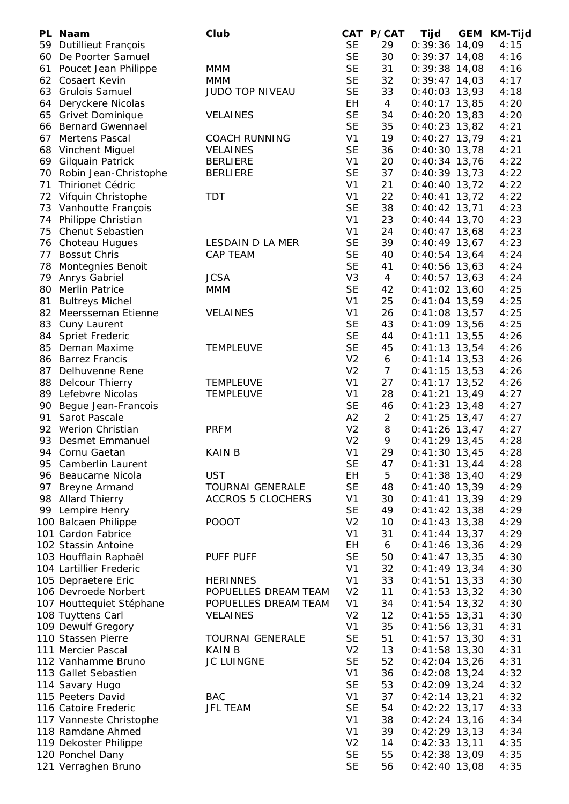|    | PL Naam                  | Club                     |                | CAT P/CAT      | Tijd            | <b>GEM</b> | KM-Tijd |
|----|--------------------------|--------------------------|----------------|----------------|-----------------|------------|---------|
| 59 | Dutillieut François      |                          | <b>SE</b>      | 29             | $0:39:36$ 14,09 |            | 4:15    |
| 60 | De Poorter Samuel        |                          | <b>SE</b>      | 30             | $0:39:37$ 14,08 |            | 4:16    |
|    | 61 Poucet Jean Philippe  | <b>MMM</b>               | <b>SE</b>      | 31             | $0:39:38$ 14,08 |            | 4:16    |
|    | 62 Cosaert Kevin         | <b>MMM</b>               | <b>SE</b>      | 32             | $0:39:47$ 14,03 |            | 4:17    |
|    | 63 Grulois Samuel        | <b>JUDO TOP NIVEAU</b>   | <b>SE</b>      | 33             | $0:40:03$ 13,93 |            | 4:18    |
| 64 | Deryckere Nicolas        |                          | EH             | $\overline{4}$ | $0:40:17$ 13,85 |            | 4:20    |
| 65 | <b>Grivet Dominique</b>  | <b>VELAINES</b>          | <b>SE</b>      | 34             | $0:40:20$ 13,83 |            | 4:20    |
|    | 66 Bernard Gwennael      |                          | <b>SE</b>      | 35             | $0:40:23$ 13,82 |            | 4:21    |
|    | 67 Mertens Pascal        | <b>COACH RUNNING</b>     | V <sub>1</sub> | 19             | $0:40:27$ 13,79 |            | 4:21    |
|    | 68 Vinchent Miguel       | <b>VELAINES</b>          | <b>SE</b>      | 36             | $0:40:30$ 13,78 |            | 4:21    |
|    | 69 Gilquain Patrick      | <b>BERLIERE</b>          | V <sub>1</sub> | 20             | $0:40:34$ 13,76 |            | 4:22    |
|    | 70 Robin Jean-Christophe | <b>BERLIERE</b>          | <b>SE</b>      | 37             | $0:40:39$ 13,73 |            | 4:22    |
| 71 | Thirionet Cédric         |                          | V <sub>1</sub> | 21             | $0:40:40$ 13,72 |            | 4:22    |
| 72 | Vifquin Christophe       | <b>TDT</b>               | V <sub>1</sub> | 22             | $0:40:41$ 13,72 |            | 4:22    |
| 73 | Vanhoutte François       |                          | <b>SE</b>      | 38             | $0:40:42$ 13,71 |            | 4:23    |
| 74 | Philippe Christian       |                          | V <sub>1</sub> | 23             | $0:40:44$ 13,70 |            | 4:23    |
| 75 | Chenut Sebastien         |                          | V <sub>1</sub> | 24             | $0:40:47$ 13,68 |            | 4:23    |
|    |                          |                          |                |                |                 |            |         |
| 76 | Choteau Hugues           | LESDAIN D LA MER         | <b>SE</b>      | 39             | $0:40:49$ 13,67 |            | 4:23    |
| 77 | <b>Bossut Chris</b>      | <b>CAP TEAM</b>          | <b>SE</b>      | 40             | $0:40:54$ 13,64 |            | 4:24    |
| 78 | Montegnies Benoit        |                          | <b>SE</b>      | 41             | $0:40:56$ 13,63 |            | 4:24    |
| 79 | Anrys Gabriel            | <b>JCSA</b>              | V <sub>3</sub> | $\overline{4}$ | $0:40:57$ 13,63 |            | 4:24    |
| 80 | <b>Merlin Patrice</b>    | <b>MMM</b>               | <b>SE</b>      | 42             | $0:41:02$ 13,60 |            | 4:25    |
| 81 | <b>Bultreys Michel</b>   |                          | V <sub>1</sub> | 25             | $0:41:04$ 13,59 |            | 4:25    |
| 82 | Meersseman Etienne       | <b>VELAINES</b>          | V <sub>1</sub> | 26             | $0:41:08$ 13,57 |            | 4:25    |
| 83 | Cuny Laurent             |                          | <b>SE</b>      | 43             | $0:41:09$ 13,56 |            | 4:25    |
| 84 | <b>Spriet Frederic</b>   |                          | <b>SE</b>      | 44             | $0:41:11$ 13,55 |            | 4:26    |
| 85 | Deman Maxime             | <b>TEMPLEUVE</b>         | <b>SE</b>      | 45             | $0:41:13$ 13,54 |            | 4:26    |
|    | 86 Barrez Francis        |                          | V <sub>2</sub> | 6              | $0:41:14$ 13,53 |            | 4:26    |
| 87 | Delhuvenne Rene          |                          | V <sub>2</sub> | $\overline{7}$ | $0:41:15$ 13,53 |            | 4:26    |
|    | 88 Delcour Thierry       | <b>TEMPLEUVE</b>         | V <sub>1</sub> | 27             | $0:41:17$ 13,52 |            | 4:26    |
|    | 89 Lefebvre Nicolas      | <b>TEMPLEUVE</b>         | V <sub>1</sub> | 28             | $0:41:21$ 13,49 |            | 4:27    |
|    | 90 Begue Jean-Francois   |                          | <b>SE</b>      | 46             | $0:41:23$ 13,48 |            | 4:27    |
| 91 | Sarot Pascale            |                          | A2             | $\overline{2}$ | $0:41:25$ 13,47 |            | 4:27    |
|    | 92 Werion Christian      | <b>PRFM</b>              | V <sub>2</sub> | 8              | $0:41:26$ 13,47 |            | 4:27    |
| 93 | <b>Desmet Emmanuel</b>   |                          | V <sub>2</sub> | 9              | $0:41:29$ 13,45 |            | 4:28    |
| 94 | Cornu Gaetan             | <b>KAIN B</b>            | V <sub>1</sub> | 29             | $0:41:30$ 13,45 |            | 4:28    |
|    | 95 Camberlin Laurent     |                          | <b>SE</b>      | 47             | $0:41:31$ 13,44 |            | 4:28    |
|    | 96 Beaucarne Nicola      | <b>UST</b>               | EH             | 5              | $0:41:38$ 13,40 |            | 4:29    |
|    | 97 Breyne Armand         | <b>TOURNAI GENERALE</b>  | <b>SE</b>      | 48             | $0:41:40$ 13,39 |            | 4:29    |
|    | 98 Allard Thierry        | <b>ACCROS 5 CLOCHERS</b> | V <sub>1</sub> | 30             | $0:41:41$ 13,39 |            | 4:29    |
|    | 99 Lempire Henry         |                          | <b>SE</b>      | 49             | $0:41:42$ 13,38 |            | 4:29    |
|    | 100 Balcaen Philippe     | <b>POOOT</b>             | V <sub>2</sub> | 10             | $0:41:43$ 13,38 |            | 4:29    |
|    | 101 Cardon Fabrice       |                          | V <sub>1</sub> | 31             | $0:41:44$ 13,37 |            | 4:29    |
|    | 102 Stassin Antoine      |                          | EH             | 6              | $0:41:46$ 13,36 |            | 4:29    |
|    | 103 Houfflain Raphaël    | PUFF PUFF                | <b>SE</b>      | 50             | $0:41:47$ 13,35 |            | 4:30    |
|    | 104 Lartillier Frederic  |                          | V <sub>1</sub> | 32             | $0:41:49$ 13,34 |            | 4:30    |
|    | 105 Depraetere Eric      | <b>HERINNES</b>          | V <sub>1</sub> | 33             | $0:41:51$ 13,33 |            | 4:30    |
|    | 106 Devroede Norbert     | POPUELLES DREAM TEAM     | V <sub>2</sub> | 11             | $0:41:53$ 13,32 |            | 4:30    |
|    |                          |                          | V <sub>1</sub> |                |                 |            |         |
|    | 107 Houttequiet Stéphane | POPUELLES DREAM TEAM     |                | 34             | $0:41:54$ 13,32 |            | 4:30    |
|    | 108 Tuyttens Carl        | <b>VELAINES</b>          | V <sub>2</sub> | 12             | $0:41:55$ 13,31 |            | 4:30    |
|    | 109 Dewulf Gregory       |                          | V <sub>1</sub> | 35             | $0:41:56$ 13,31 |            | 4:31    |
|    | 110 Stassen Pierre       | <b>TOURNAI GENERALE</b>  | <b>SE</b>      | 51             | $0:41:57$ 13,30 |            | 4:31    |
|    | 111 Mercier Pascal       | <b>KAIN B</b>            | V <sub>2</sub> | 13             | $0:41:58$ 13,30 |            | 4:31    |
|    | 112 Vanhamme Bruno       | JC LUINGNE               | <b>SE</b>      | 52             | $0:42:04$ 13,26 |            | 4:31    |
|    | 113 Gallet Sebastien     |                          | V <sub>1</sub> | 36             | $0:42:08$ 13,24 |            | 4:32    |
|    | 114 Savary Hugo          |                          | <b>SE</b>      | 53             | $0:42:09$ 13,24 |            | 4:32    |
|    | 115 Peeters David        | <b>BAC</b>               | V <sub>1</sub> | 37             | $0:42:14$ 13,21 |            | 4:32    |
|    | 116 Catoire Frederic     | <b>JFL TEAM</b>          | <b>SE</b>      | 54             | $0:42:22$ 13,17 |            | 4:33    |
|    | 117 Vanneste Christophe  |                          | V <sub>1</sub> | 38             | $0:42:24$ 13,16 |            | 4:34    |
|    | 118 Ramdane Ahmed        |                          | V <sub>1</sub> | 39             | $0:42:29$ 13,13 |            | 4:34    |
|    | 119 Dekoster Philippe    |                          | V <sub>2</sub> | 14             | $0:42:33$ 13,11 |            | 4:35    |
|    | 120 Ponchel Dany         |                          | <b>SE</b>      | 55             | $0:42:38$ 13,09 |            | 4:35    |
|    | 121 Verraghen Bruno      |                          | <b>SE</b>      | 56             | $0:42:40$ 13,08 |            | 4:35    |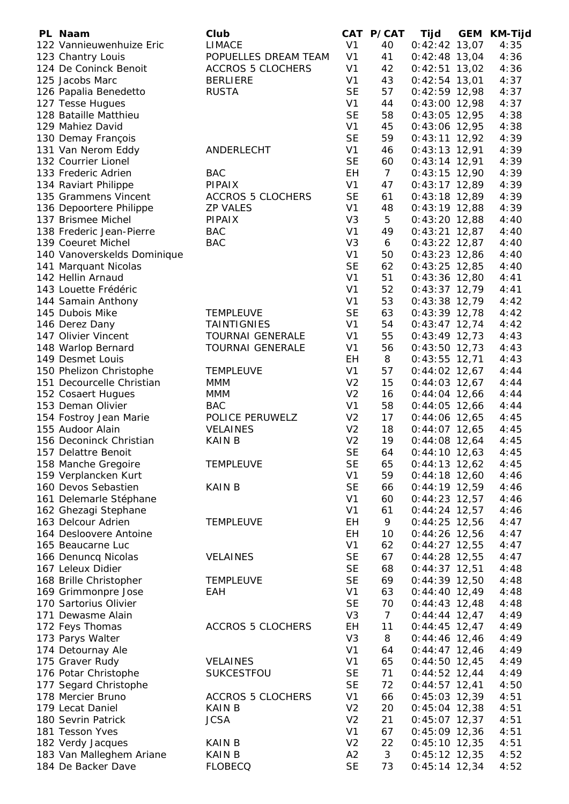| PL Naam                     | Club                     |                | CAT P/CAT       | Tijd            | GEM | <b>KM-Tijd</b> |
|-----------------------------|--------------------------|----------------|-----------------|-----------------|-----|----------------|
| 122 Vannieuwenhuize Eric    | <b>LIMACE</b>            | V <sub>1</sub> | 40              | $0:42:42$ 13,07 |     | 4:35           |
| 123 Chantry Louis           | POPUELLES DREAM TEAM     | V <sub>1</sub> | 41              | $0:42:48$ 13,04 |     | 4:36           |
| 124 De Coninck Benoit       | <b>ACCROS 5 CLOCHERS</b> | V <sub>1</sub> | 42              | $0:42:51$ 13,02 |     | 4:36           |
| 125 Jacobs Marc             | <b>BERLIERE</b>          | V <sub>1</sub> | 43              | $0:42:54$ 13,01 |     | 4:37           |
| 126 Papalia Benedetto       | <b>RUSTA</b>             | <b>SE</b>      | 57              | $0:42:59$ 12,98 |     | 4:37           |
| 127 Tesse Hugues            |                          | V <sub>1</sub> | 44              | $0:43:00$ 12,98 |     | 4:37           |
| 128 Bataille Matthieu       |                          | <b>SE</b>      | 58              | $0:43:05$ 12,95 |     | 4:38           |
| 129 Mahiez David            |                          | V <sub>1</sub> | 45              | $0:43:06$ 12,95 |     | 4:38           |
| 130 Demay François          |                          | <b>SE</b>      | 59              | $0:43:11$ 12,92 |     | 4:39           |
| 131 Van Nerom Eddy          | ANDERLECHT               | V <sub>1</sub> | 46              | $0:43:13$ 12,91 |     | 4:39           |
| 132 Courrier Lionel         |                          | <b>SE</b>      | 60              | $0:43:14$ 12,91 |     | 4:39           |
| 133 Frederic Adrien         | <b>BAC</b>               | EH             | $7\overline{ }$ | $0:43:15$ 12,90 |     | 4:39           |
| 134 Raviart Philippe        | PIPAIX                   | V <sub>1</sub> | 47              | $0:43:17$ 12,89 |     | 4:39           |
| 135 Grammens Vincent        | <b>ACCROS 5 CLOCHERS</b> | <b>SE</b>      | 61              | $0:43:18$ 12,89 |     | 4:39           |
| 136 Depoortere Philippe     | <b>ZP VALES</b>          | V <sub>1</sub> | 48              | $0:43:19$ 12,88 |     | 4:39           |
| 137 Brismee Michel          | PIPAIX                   | V <sub>3</sub> | 5               | $0:43:20$ 12,88 |     | 4:40           |
| 138 Frederic Jean-Pierre    | <b>BAC</b>               | V <sub>1</sub> | 49              | $0:43:21$ 12,87 |     | 4:40           |
| 139 Coeuret Michel          | <b>BAC</b>               | V <sub>3</sub> | 6               | $0:43:22$ 12,87 |     | 4:40           |
| 140 Vanoverskelds Dominique |                          | V <sub>1</sub> | 50              | $0:43:23$ 12,86 |     | 4:40           |
| 141 Marquant Nicolas        |                          | <b>SE</b>      | 62              | $0:43:25$ 12,85 |     | 4:40           |
| 142 Hellin Arnaud           |                          | V <sub>1</sub> | 51              | $0:43:36$ 12,80 |     | 4:41           |
| 143 Louette Frédéric        |                          | V <sub>1</sub> | 52              | $0:43:37$ 12,79 |     | 4:41           |
| 144 Samain Anthony          |                          | V <sub>1</sub> | 53              | $0:43:38$ 12,79 |     | 4:42           |
| 145 Dubois Mike             | <b>TEMPLEUVE</b>         | <b>SE</b>      | 63              | $0:43:39$ 12,78 |     | 4:42           |
| 146 Derez Dany              | <b>TAINTIGNIES</b>       | V <sub>1</sub> | 54              | $0:43:47$ 12,74 |     | 4:42           |
| 147 Olivier Vincent         | <b>TOURNAI GENERALE</b>  | V <sub>1</sub> | 55              | $0:43:49$ 12,73 |     | 4:43           |
| 148 Warlop Bernard          | <b>TOURNAI GENERALE</b>  | V <sub>1</sub> | 56              | $0:43:50$ 12,73 |     | 4:43           |
| 149 Desmet Louis            |                          | EH             | 8               | $0:43:55$ 12,71 |     | 4:43           |
| 150 Phelizon Christophe     | <b>TEMPLEUVE</b>         | V <sub>1</sub> | 57              | $0:44:02$ 12,67 |     | 4:44           |
| 151 Decourcelle Christian   | MMM                      | V <sub>2</sub> | 15              | $0:44:03$ 12,67 |     | 4:44           |
| 152 Cosaert Hugues          | <b>MMM</b>               | V <sub>2</sub> | 16              | $0:44:04$ 12,66 |     | 4:44           |
| 153 Deman Olivier           | <b>BAC</b>               | V <sub>1</sub> | 58              | $0:44:05$ 12,66 |     | 4:44           |
| 154 Fostroy Jean Marie      | POLICE PERUWELZ          | V <sub>2</sub> | 17              | $0:44:06$ 12,65 |     | 4:45           |
| 155 Audoor Alain            | <b>VELAINES</b>          | V <sub>2</sub> | 18              | $0:44:07$ 12,65 |     | 4:45           |
| 156 Deconinck Christian     | <b>KAIN B</b>            | V <sub>2</sub> | 19              | $0:44:08$ 12,64 |     | 4:45           |
| 157 Delattre Benoit         |                          | <b>SE</b>      | 64              | $0:44:10$ 12,63 |     | 4:45           |
| 158 Manche Gregoire         | <b>TEMPLEUVE</b>         | <b>SE</b>      | 65              | $0:44:13$ 12,62 |     | 4:45           |
| 159 Verplancken Kurt        |                          | V <sub>1</sub> | 59              | $0:44:18$ 12,60 |     | 4:46           |
| 160 Devos Sebastien         | <b>KAIN B</b>            | <b>SE</b>      | 66              | $0:44:19$ 12,59 |     | 4:46           |
| 161 Delemarle Stéphane      |                          | V <sub>1</sub> | 60              | $0:44:23$ 12,57 |     | 4:46           |
| 162 Ghezagi Stephane        |                          | V <sub>1</sub> | 61              | $0:44:24$ 12,57 |     | 4:46           |
| 163 Delcour Adrien          | <b>TEMPLEUVE</b>         | EH             | 9               | $0:44:25$ 12,56 |     | 4:47           |
| 164 Desloovere Antoine      |                          | EH             | 10              | $0:44:26$ 12,56 |     | 4:47           |
| 165 Beaucarne Luc           |                          | V <sub>1</sub> | 62              | $0:44:27$ 12,55 |     | 4:47           |
| 166 Denuncq Nicolas         | <b>VELAINES</b>          | <b>SE</b>      | 67              | $0:44:28$ 12,55 |     | 4:47           |
| 167 Leleux Didier           |                          | <b>SE</b>      | 68              | $0:44:37$ 12,51 |     | 4:48           |
| 168 Brille Christopher      | <b>TEMPLEUVE</b>         | <b>SE</b>      | 69              | $0:44:39$ 12,50 |     | 4:48           |
| 169 Grimmonpre Jose         | EAH                      | V <sub>1</sub> | 63              | $0:44:40$ 12,49 |     | 4:48           |
| 170 Sartorius Olivier       |                          | <b>SE</b>      | 70              | $0:44:43$ 12,48 |     | 4:48           |
| 171 Dewasme Alain           |                          | V <sub>3</sub> | $\overline{7}$  | $0:44:44$ 12,47 |     | 4:49           |
| 172 Feys Thomas             | <b>ACCROS 5 CLOCHERS</b> | EH             | 11              | $0:44:45$ 12,47 |     | 4:49           |
| 173 Parys Walter            |                          | V <sub>3</sub> | 8               | $0:44:46$ 12,46 |     | 4:49           |
| 174 Detournay Ale           |                          | V <sub>1</sub> | 64              | $0:44:47$ 12,46 |     | 4:49           |
| 175 Graver Rudy             | <b>VELAINES</b>          | V <sub>1</sub> | 65              | $0:44:50$ 12,45 |     | 4:49           |
| 176 Potar Christophe        | SUKCESTFOU               | <b>SE</b>      | 71              | $0:44:52$ 12,44 |     | 4:49           |
| 177 Segard Christophe       |                          | <b>SE</b>      | 72              | $0:44:57$ 12,41 |     | 4:50           |
| 178 Mercier Bruno           | <b>ACCROS 5 CLOCHERS</b> | V <sub>1</sub> | 66              | $0:45:03$ 12,39 |     | 4:51           |
| 179 Lecat Daniel            | <b>KAIN B</b>            | V <sub>2</sub> | 20              | $0:45:04$ 12,38 |     | 4:51           |
| 180 Sevrin Patrick          | <b>JCSA</b>              | V <sub>2</sub> | 21              | $0:45:07$ 12,37 |     | 4:51           |
| 181 Tesson Yves             |                          | V <sub>1</sub> | 67              | $0:45:09$ 12,36 |     | 4:51           |
| 182 Verdy Jacques           | <b>KAIN B</b>            | V <sub>2</sub> | 22              | $0:45:10$ 12,35 |     | 4:51           |
| 183 Van Malleghem Ariane    | <b>KAIN B</b>            | A2             | 3               | $0:45:12$ 12,35 |     | 4:52           |
| 184 De Backer Dave          | <b>FLOBECQ</b>           | <b>SE</b>      | 73              | $0:45:14$ 12,34 |     | 4:52           |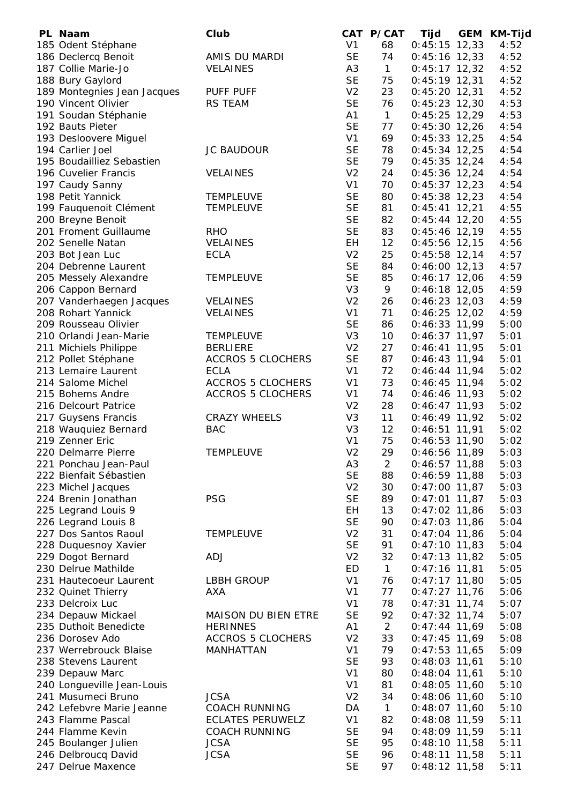| PL Naam                                    | Club                     |                             | CAT P/CAT      | Tijd                               | <b>GEM</b> | <b>KM-Tijd</b> |
|--------------------------------------------|--------------------------|-----------------------------|----------------|------------------------------------|------------|----------------|
| 185 Odent Stéphane                         |                          | V <sub>1</sub>              | 68             | $0:45:15$ 12,33                    |            | 4:52           |
| 186 Declercq Benoit                        | AMIS DU MARDI            | <b>SE</b>                   | 74             | $0:45:16$ 12,33                    |            | 4:52           |
| 187 Collie Marie-Jo                        | <b>VELAINES</b>          | A <sub>3</sub>              | $\mathbf{1}$   | $0:45:17$ 12,32                    |            | 4:52           |
| 188 Bury Gaylord                           |                          | <b>SE</b>                   | 75             | $0:45:19$ 12,31                    |            | 4:52           |
| 189 Montegnies Jean Jacques                | PUFF PUFF                | V <sub>2</sub>              | 23             | $0:45:20$ 12,31                    |            | 4:52           |
| 190 Vincent Olivier                        | <b>RS TEAM</b>           | <b>SE</b>                   | 76             | $0:45:23$ 12,30                    |            | 4:53           |
| 191 Soudan Stéphanie                       |                          | A1                          | $\mathbf{1}$   | $0:45:25$ 12,29                    |            | 4:53           |
| 192 Bauts Pieter                           |                          | <b>SE</b>                   | 77             | $0:45:30$ 12,26                    |            | 4:54           |
| 193 Desloovere Miguel                      |                          | V <sub>1</sub>              | 69             | $0:45:33$ 12,25                    |            | 4:54           |
| 194 Carlier Joel                           | <b>JC BAUDOUR</b>        | <b>SE</b>                   | 78             | $0:45:34$ 12,25                    |            | 4:54           |
| 195 Boudailliez Sebastien                  |                          | <b>SE</b>                   | 79             | $0:45:35$ 12,24                    |            | 4:54           |
| 196 Cuvelier Francis                       | <b>VELAINES</b>          | V <sub>2</sub>              | 24             | $0:45:36$ 12,24                    |            | 4:54           |
| 197 Caudy Sanny                            |                          | V <sub>1</sub>              | 70             | $0:45:37$ 12,23                    |            | 4:54           |
| 198 Petit Yannick                          | <b>TEMPLEUVE</b>         | <b>SE</b>                   | 80             | $0:45:38$ 12,23                    |            | 4:54           |
| 199 Fauquenoit Clément                     | <b>TEMPLEUVE</b>         | <b>SE</b>                   | 81             | $0:45:41$ 12,21                    |            | 4:55           |
| 200 Breyne Benoit                          |                          | <b>SE</b>                   | 82             | $0:45:44$ 12,20                    |            | 4:55           |
| 201 Froment Guillaume                      | <b>RHO</b>               | <b>SE</b>                   | 83             | $0:45:46$ 12,19                    |            | 4:55           |
| 202 Senelle Natan                          | <b>VELAINES</b>          | EH                          | 12             | $0:45:56$ 12,15                    |            | 4:56           |
| 203 Bot Jean Luc                           | <b>ECLA</b>              | V <sub>2</sub>              | 25             | $0:45:58$ 12,14                    |            | 4:57           |
| 204 Debrenne Laurent                       |                          | <b>SE</b>                   | 84             | $0:46:00$ 12,13                    |            | 4:57           |
| 205 Messely Alexandre                      | <b>TEMPLEUVE</b>         | <b>SE</b>                   | 85             | $0:46:17$ 12,06                    |            | 4:59           |
| 206 Cappon Bernard                         |                          | V <sub>3</sub>              | 9              | $0:46:18$ 12,05                    |            | 4:59           |
| 207 Vanderhaegen Jacques                   | <b>VELAINES</b>          | V <sub>2</sub>              | 26             | $0:46:23$ 12,03                    |            | 4:59           |
| 208 Rohart Yannick                         | <b>VELAINES</b>          | V <sub>1</sub>              | 71             | $0:46:25$ 12,02                    |            | 4:59           |
| 209 Rousseau Olivier                       |                          | <b>SE</b>                   | 86             | $0:46:33$ 11,99                    |            | 5:00           |
| 210 Orlandi Jean-Marie                     | <b>TEMPLEUVE</b>         | V <sub>3</sub>              | 10             | $0:46:37$ 11,97                    |            | 5:01           |
| 211 Michiels Philippe                      | <b>BERLIERE</b>          | V <sub>2</sub>              | 27             | $0:46:41$ 11,95                    |            | 5:01           |
| 212 Pollet Stéphane                        | <b>ACCROS 5 CLOCHERS</b> | <b>SE</b>                   | 87             | $0:46:43$ 11,94                    |            | 5:01           |
| 213 Lemaire Laurent                        | <b>ECLA</b>              | V <sub>1</sub>              | 72             | $0:46:44$ 11,94                    |            | 5:02           |
| 214 Salome Michel                          | <b>ACCROS 5 CLOCHERS</b> | V <sub>1</sub>              | 73             | $0:46:45$ 11,94                    |            | 5:02           |
| 215 Bohems Andre                           | <b>ACCROS 5 CLOCHERS</b> | V <sub>1</sub>              | 74             | $0:46:46$ 11,93                    |            | 5:02           |
| 216 Delcourt Patrice                       |                          | V <sub>2</sub>              | 28             | $0:46:47$ 11,93                    |            | 5:02           |
| 217 Guysens Francis                        | <b>CRAZY WHEELS</b>      | V <sub>3</sub>              | 11             | $0:46:49$ 11,92                    |            | 5:02           |
| 218 Wauquiez Bernard                       | <b>BAC</b>               | V <sub>3</sub>              | 12             | $0:46:51$ 11,91                    |            | 5:02           |
| 219 Zenner Eric                            |                          | V <sub>1</sub>              | 75             | $0:46:53$ 11,90                    |            | 5:02           |
| 220 Delmarre Pierre                        | <b>TEMPLEUVE</b>         | V <sub>2</sub>              | 29             | $0:46:56$ 11,89                    |            | 5:03           |
| 221 Ponchau Jean-Paul                      |                          | A <sub>3</sub>              | $\overline{2}$ | $0:46:57$ 11,88                    |            | 5:03           |
| 222 Bienfait Sébastien                     |                          | <b>SE</b>                   | 88             | $0:46:59$ 11,88                    |            | 5:03           |
| 223 Michel Jacques<br>224 Brenin Jonathan  | <b>PSG</b>               | V <sub>2</sub><br><b>SE</b> | 30             | $0:47:00$ 11,87                    |            | 5:03           |
|                                            |                          | EH                          | 89             | $0:47:01$ 11,87                    |            | 5:03           |
| 225 Legrand Louis 9<br>226 Legrand Louis 8 |                          | <b>SE</b>                   | 13<br>90       | $0:47:02$ 11,86<br>$0:47:03$ 11,86 |            | 5:03<br>5:04   |
| 227 Dos Santos Raoul                       | <b>TEMPLEUVE</b>         | V <sub>2</sub>              | 31             | $0:47:04$ 11,86                    |            | 5:04           |
| 228 Duquesnoy Xavier                       |                          | <b>SE</b>                   | 91             | $0:47:10$ 11,83                    |            | 5:04           |
| 229 Dogot Bernard                          | <b>ADJ</b>               | V <sub>2</sub>              | 32             | $0:47:13$ 11,82                    |            | 5:05           |
| 230 Delrue Mathilde                        |                          | ED                          | $\mathbf{1}$   | $0:47:16$ 11,81                    |            | 5:05           |
| 231 Hautecoeur Laurent                     | <b>LBBH GROUP</b>        | V <sub>1</sub>              | 76             | $0:47:17$ 11,80                    |            | 5:05           |
| 232 Quinet Thierry                         | AXA                      | V <sub>1</sub>              | 77             | $0:47:27$ 11,76                    |            | 5:06           |
| 233 Delcroix Luc                           |                          | V <sub>1</sub>              | 78             | $0:47:31$ 11,74                    |            | 5:07           |
| 234 Depauw Mickael                         | MAISON DU BIEN ETRE      | <b>SE</b>                   | 92             | $0:47:32$ 11,74                    |            | 5:07           |
| 235 Duthoit Benedicte                      | <b>HERINNES</b>          | A1                          | 2              | $0:47:44$ 11,69                    |            | 5:08           |
| 236 Dorosev Ado                            | <b>ACCROS 5 CLOCHERS</b> | V <sub>2</sub>              | 33             | $0:47:45$ 11,69                    |            | 5:08           |
| 237 Werrebrouck Blaise                     | MANHATTAN                | V <sub>1</sub>              | 79             | $0:47:53$ 11,65                    |            | 5:09           |
| 238 Stevens Laurent                        |                          | <b>SE</b>                   | 93             | $0:48:03$ 11,61                    |            | 5:10           |
| 239 Depauw Marc                            |                          | V <sub>1</sub>              | 80             | $0:48:04$ 11,61                    |            | 5:10           |
| 240 Longueville Jean-Louis                 |                          | V <sub>1</sub>              | 81             | $0:48:05$ 11,60                    |            | 5:10           |
| 241 Musumeci Bruno                         | <b>JCSA</b>              | V <sub>2</sub>              | 34             | $0:48:06$ 11,60                    |            | 5:10           |
| 242 Lefebvre Marie Jeanne                  | <b>COACH RUNNING</b>     | DA                          | $\mathbf{1}$   | $0:48:07$ 11,60                    |            | 5:10           |
| 243 Flamme Pascal                          | <b>ECLATES PERUWELZ</b>  | V <sub>1</sub>              | 82             | $0:48:08$ 11,59                    |            | 5:11           |
| 244 Flamme Kevin                           | <b>COACH RUNNING</b>     | <b>SE</b>                   | 94             | $0:48:09$ 11,59                    |            | 5:11           |
| 245 Boulanger Julien                       | <b>JCSA</b>              | <b>SE</b>                   | 95             | $0:48:10$ 11,58                    |            | 5:11           |
| 246 Delbroucq David                        | <b>JCSA</b>              | <b>SE</b>                   | 96             | $0:48:11$ 11,58                    |            | 5:11           |
| 247 Delrue Maxence                         |                          | <b>SE</b>                   | 97             | $0:48:12$ 11,58                    |            | 5:11           |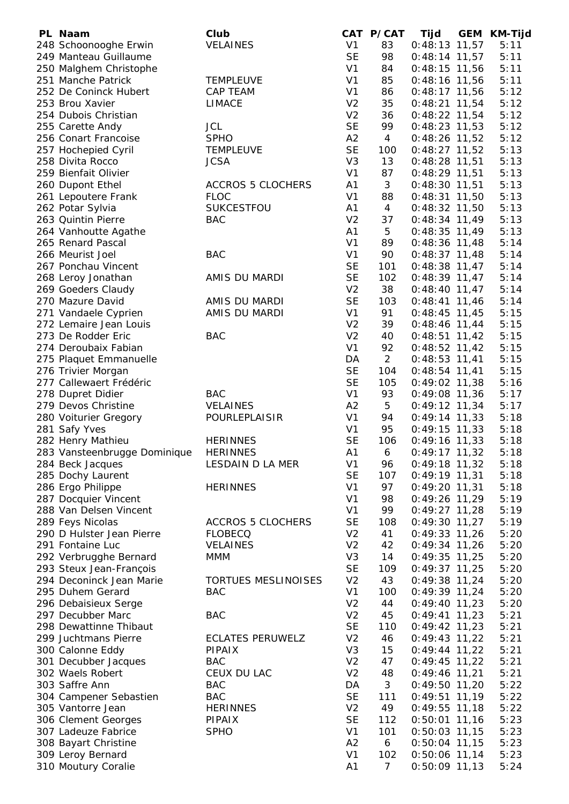| PL Naam                      | Club                       |                | CAT P/CAT      | <b>Tijd</b>     | <b>GEM</b> | <b>KM-Tijd</b> |
|------------------------------|----------------------------|----------------|----------------|-----------------|------------|----------------|
| 248 Schoonooghe Erwin        | <b>VELAINES</b>            | V <sub>1</sub> | 83             | $0:48:13$ 11,57 |            | 5:11           |
| 249 Manteau Guillaume        |                            | <b>SE</b>      | 98             | $0:48:14$ 11,57 |            | 5:11           |
| 250 Malghem Christophe       |                            | V <sub>1</sub> | 84             | $0:48:15$ 11,56 |            | 5:11           |
| 251 Manche Patrick           | <b>TEMPLEUVE</b>           | V <sub>1</sub> | 85             | $0:48:16$ 11,56 |            | 5:11           |
| 252 De Coninck Hubert        | <b>CAP TEAM</b>            | V <sub>1</sub> | 86             | $0:48:17$ 11,56 |            | 5:12           |
| 253 Brou Xavier              | <b>LIMACE</b>              | V <sub>2</sub> | 35             | $0:48:21$ 11,54 |            | 5:12           |
| 254 Dubois Christian         |                            | V <sub>2</sub> | 36             | $0:48:22$ 11,54 |            | 5:12           |
| 255 Carette Andy             | <b>JCL</b>                 | <b>SE</b>      | 99             | $0:48:23$ 11,53 |            | 5:12           |
| 256 Conart Francoise         | <b>SPHO</b>                | A2             | $\overline{4}$ | $0:48:26$ 11,52 |            | 5:12           |
| 257 Hochepied Cyril          | <b>TEMPLEUVE</b>           | <b>SE</b>      | 100            | $0:48:27$ 11,52 |            | 5:13           |
| 258 Divita Rocco             | <b>JCSA</b>                | V <sub>3</sub> | 13             | $0:48:28$ 11,51 |            | 5:13           |
| 259 Bienfait Olivier         |                            | V <sub>1</sub> | 87             | $0:48:29$ 11,51 |            | 5:13           |
| 260 Dupont Ethel             | <b>ACCROS 5 CLOCHERS</b>   | A1             | 3              | $0:48:30$ 11,51 |            | 5:13           |
| 261 Lepoutere Frank          | <b>FLOC</b>                | V <sub>1</sub> | 88             | $0:48:31$ 11,50 |            | 5:13           |
| 262 Potar Sylvia             | SUKCESTFOU                 | A <sub>1</sub> | $\overline{4}$ | $0:48:32$ 11,50 |            | 5:13           |
| 263 Quintin Pierre           | <b>BAC</b>                 | V <sub>2</sub> | 37             | $0:48:34$ 11,49 |            | 5:13           |
| 264 Vanhoutte Agathe         |                            | A <sub>1</sub> | 5              | $0:48:35$ 11,49 |            | 5:13           |
| 265 Renard Pascal            |                            | V <sub>1</sub> | 89             | $0:48:36$ 11,48 |            | 5:14           |
| 266 Meurist Joel             | <b>BAC</b>                 | V <sub>1</sub> | 90             | $0:48:37$ 11,48 |            | 5:14           |
| 267 Ponchau Vincent          |                            | <b>SE</b>      | 101            | $0:48:38$ 11,47 |            | 5:14           |
| 268 Leroy Jonathan           | AMIS DU MARDI              | <b>SE</b>      | 102            | $0:48:39$ 11,47 |            | 5:14           |
| 269 Goeders Claudy           |                            | V <sub>2</sub> | 38             | $0:48:40$ 11,47 |            | 5:14           |
| 270 Mazure David             | AMIS DU MARDI              | <b>SE</b>      | 103            | $0:48:41$ 11,46 |            | 5:14           |
| 271 Vandaele Cyprien         | AMIS DU MARDI              | V <sub>1</sub> | 91             | $0:48:45$ 11,45 |            | 5:15           |
| 272 Lemaire Jean Louis       |                            | V <sub>2</sub> | 39             | $0:48:46$ 11,44 |            | 5:15           |
| 273 De Rodder Eric           | <b>BAC</b>                 | V <sub>2</sub> | 40             | $0:48:51$ 11,42 |            | 5:15           |
| 274 Deroubaix Fabian         |                            | V <sub>1</sub> | 92             | $0:48:52$ 11,42 |            | 5:15           |
| 275 Plaquet Emmanuelle       |                            | DA             | $\overline{2}$ | $0:48:53$ 11,41 |            | 5:15           |
| 276 Trivier Morgan           |                            | <b>SE</b>      | 104            | $0:48:54$ 11,41 |            | 5:15           |
| 277 Callewaert Frédéric      |                            | <b>SE</b>      | 105            | $0:49:02$ 11,38 |            | 5:16           |
| 278 Dupret Didier            | <b>BAC</b>                 | V <sub>1</sub> | 93             | $0:49:08$ 11,36 |            | 5:17           |
| 279 Devos Christine          | <b>VELAINES</b>            | A2             | 5              | $0:49:12$ 11,34 |            | 5:17           |
| 280 Voiturier Gregory        | POURLEPLAISIR              | V <sub>1</sub> | 94             | $0:49:14$ 11,33 |            | 5:18           |
| 281 Safy Yves                |                            | V <sub>1</sub> | 95             | $0:49:15$ 11,33 |            | 5:18           |
| 282 Henry Mathieu            | <b>HERINNES</b>            | <b>SE</b>      | 106            | $0:49:16$ 11,33 |            | 5:18           |
| 283 Vansteenbrugge Dominique | <b>HERINNES</b>            | A <sub>1</sub> | 6              | $0:49:17$ 11,32 |            | 5:18           |
| 284 Beck Jacques             | LESDAIN D LA MER           | V <sub>1</sub> | 96             | $0:49:18$ 11,32 |            | 5:18           |
| 285 Dochy Laurent            |                            | <b>SE</b>      | 107            | $0:49:19$ 11,31 |            | 5:18           |
| 286 Ergo Philippe            | <b>HERINNES</b>            | V <sub>1</sub> | 97             | $0:49:20$ 11,31 |            | 5:18           |
| 287 Docquier Vincent         |                            | V <sub>1</sub> | 98             | $0:49:26$ 11,29 |            | 5:19           |
| 288 Van Delsen Vincent       |                            | V <sub>1</sub> | 99             | $0:49:27$ 11,28 |            | 5:19           |
| 289 Feys Nicolas             | <b>ACCROS 5 CLOCHERS</b>   | <b>SE</b>      | 108            | $0:49:30$ 11,27 |            | 5:19           |
| 290 D Hulster Jean Pierre    | <b>FLOBECQ</b>             | V <sub>2</sub> | 41             | $0:49:33$ 11,26 |            | 5:20           |
| 291 Fontaine Luc             | <b>VELAINES</b>            | V <sub>2</sub> | 42             | $0:49:34$ 11,26 |            | 5:20           |
| 292 Verbrugghe Bernard       | <b>MMM</b>                 | V <sub>3</sub> | 14             | $0:49:35$ 11,25 |            | 5:20           |
| 293 Steux Jean-François      |                            | <b>SE</b>      | 109            | $0:49:37$ 11,25 |            | 5:20           |
| 294 Deconinck Jean Marie     | <b>TORTUES MESLINOISES</b> | V <sub>2</sub> | 43             | $0:49:38$ 11,24 |            | 5:20           |
| 295 Duhem Gerard             | <b>BAC</b>                 | V <sub>1</sub> | 100            | $0:49:39$ 11,24 |            | 5:20           |
| 296 Debaisieux Serge         |                            | V <sub>2</sub> | 44             | $0:49:40$ 11,23 |            | 5:20           |
| 297 Decubber Marc            | <b>BAC</b>                 | V <sub>2</sub> | 45             | $0:49:41$ 11,23 |            | 5:21           |
| 298 Dewattinne Thibaut       |                            | <b>SE</b>      | 110            | $0:49:42$ 11,23 |            | 5:21           |
| 299 Juchtmans Pierre         | <b>ECLATES PERUWELZ</b>    | V <sub>2</sub> | 46             | $0:49:43$ 11,22 |            | 5:21           |
| 300 Calonne Eddy             | <b>PIPAIX</b>              | V <sub>3</sub> | 15             | $0:49:44$ 11,22 |            | 5:21           |
| 301 Decubber Jacques         | <b>BAC</b>                 | V <sub>2</sub> | 47             | $0:49:45$ 11,22 |            | 5:21           |
| 302 Waels Robert             | CEUX DU LAC                | V <sub>2</sub> | 48             | $0:49:46$ 11,21 |            | 5:21           |
| 303 Saffre Ann               | <b>BAC</b>                 | DA             | 3              | $0:49:50$ 11,20 |            | 5:22           |
| 304 Campener Sebastien       | <b>BAC</b>                 | <b>SE</b>      | 111            | $0:49:51$ 11,19 |            | 5:22           |
| 305 Vantorre Jean            | <b>HERINNES</b>            | V <sub>2</sub> | 49             | $0:49:55$ 11,18 |            | 5:22           |
| 306 Clement Georges          | <b>PIPAIX</b>              | <b>SE</b>      | 112            | $0:50:01$ 11,16 |            | 5:23           |
| 307 Ladeuze Fabrice          | <b>SPHO</b>                | V <sub>1</sub> | 101            | $0:50:03$ 11,15 |            | 5:23           |
| 308 Bayart Christine         |                            | A2             | 6              | $0:50:04$ 11,15 |            | 5:23           |
| 309 Leroy Bernard            |                            | V <sub>1</sub> | 102            | $0:50:06$ 11,14 |            | 5:23           |
| 310 Moutury Coralie          |                            | A <sub>1</sub> | $\overline{7}$ | $0:50:09$ 11,13 |            | 5:24           |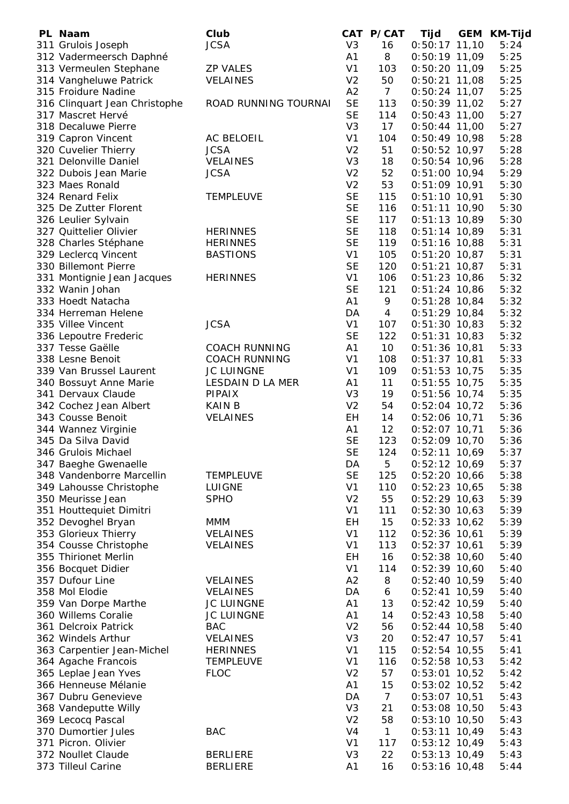| PL Naam                       | Club                 |                | CAT P/CAT      | Tijd            | <b>GEM</b> | <b>KM-Tijd</b> |
|-------------------------------|----------------------|----------------|----------------|-----------------|------------|----------------|
| 311 Grulois Joseph            | <b>JCSA</b>          | V <sub>3</sub> | 16             | $0:50:17$ 11,10 |            | 5:24           |
| 312 Vadermeersch Daphné       |                      | A1             | 8              | $0:50:19$ 11,09 |            | 5:25           |
| 313 Vermeulen Stephane        | <b>ZP VALES</b>      | V <sub>1</sub> | 103            | $0:50:20$ 11,09 |            | 5:25           |
| 314 Vangheluwe Patrick        | <b>VELAINES</b>      | V <sub>2</sub> | 50             | $0:50:21$ 11,08 |            | 5:25           |
| 315 Froidure Nadine           |                      | A2             | $\overline{7}$ | $0:50:24$ 11,07 |            | 5:25           |
| 316 Clinquart Jean Christophe | ROAD RUNNING TOURNAI | <b>SE</b>      | 113            | $0:50:39$ 11,02 |            | 5:27           |
| 317 Mascret Hervé             |                      | <b>SE</b>      | 114            | $0:50:43$ 11,00 |            | 5:27           |
| 318 Decaluwe Pierre           |                      | V <sub>3</sub> | 17             | $0:50:44$ 11,00 |            | 5:27           |
|                               |                      | V <sub>1</sub> | 104            |                 |            |                |
| 319 Capron Vincent            | AC BELOEIL           |                |                | $0:50:49$ 10,98 |            | 5:28           |
| 320 Cuvelier Thierry          | <b>JCSA</b>          | V <sub>2</sub> | 51             | $0:50:52$ 10,97 |            | 5:28           |
| 321 Delonville Daniel         | <b>VELAINES</b>      | V <sub>3</sub> | 18             | $0:50:54$ 10,96 |            | 5:28           |
| 322 Dubois Jean Marie         | <b>JCSA</b>          | V <sub>2</sub> | 52             | $0:51:00$ 10,94 |            | 5:29           |
| 323 Maes Ronald               |                      | V <sub>2</sub> | 53             | $0:51:09$ 10,91 |            | 5:30           |
| 324 Renard Felix              | <b>TEMPLEUVE</b>     | <b>SE</b>      | 115            | $0:51:10$ 10,91 |            | 5:30           |
| 325 De Zutter Florent         |                      | <b>SE</b>      | 116            | $0:51:11$ 10,90 |            | 5:30           |
| 326 Leulier Sylvain           |                      | <b>SE</b>      | 117            | $0:51:13$ 10,89 |            | 5:30           |
| 327 Quittelier Olivier        | <b>HERINNES</b>      | <b>SE</b>      | 118            | $0:51:14$ 10,89 |            | 5:31           |
| 328 Charles Stéphane          | <b>HERINNES</b>      | <b>SE</b>      | 119            | $0:51:16$ 10,88 |            | 5:31           |
| 329 Leclercq Vincent          | <b>BASTIONS</b>      | V <sub>1</sub> | 105            | $0:51:20$ 10,87 |            | 5:31           |
| 330 Billemont Pierre          |                      | <b>SE</b>      | 120            | $0:51:21$ 10,87 |            | 5:31           |
| 331 Montignie Jean Jacques    | <b>HERINNES</b>      | V <sub>1</sub> | 106            | $0:51:23$ 10,86 |            | 5:32           |
| 332 Wanin Johan               |                      | <b>SE</b>      | 121            |                 |            |                |
|                               |                      |                |                | $0:51:24$ 10,86 |            | 5:32           |
| 333 Hoedt Natacha             |                      | A <sub>1</sub> | 9              | $0:51:28$ 10,84 |            | 5:32           |
| 334 Herreman Helene           |                      | DA             | 4              | $0:51:29$ 10,84 |            | 5:32           |
| 335 Villee Vincent            | <b>JCSA</b>          | V <sub>1</sub> | 107            | $0:51:30$ 10,83 |            | 5:32           |
| 336 Lepoutre Frederic         |                      | <b>SE</b>      | 122            | $0:51:31$ 10,83 |            | 5:32           |
| 337 Tesse Gaëlle              | <b>COACH RUNNING</b> | A <sub>1</sub> | 10             | $0:51:36$ 10,81 |            | 5:33           |
| 338 Lesne Benoit              | <b>COACH RUNNING</b> | V <sub>1</sub> | 108            | $0:51:37$ 10,81 |            | 5:33           |
| 339 Van Brussel Laurent       | JC LUINGNE           | V <sub>1</sub> | 109            | $0:51:53$ 10,75 |            | 5:35           |
| 340 Bossuyt Anne Marie        | LESDAIN D LA MER     | A <sub>1</sub> | 11             | $0:51:55$ 10,75 |            | 5:35           |
| 341 Dervaux Claude            | <b>PIPAIX</b>        | V <sub>3</sub> | 19             | $0:51:56$ 10,74 |            | 5:35           |
| 342 Cochez Jean Albert        | <b>KAIN B</b>        | V <sub>2</sub> | 54             | $0:52:04$ 10,72 |            | 5:36           |
| 343 Cousse Benoit             | <b>VELAINES</b>      | EH             | 14             | $0:52:06$ 10,71 |            | 5:36           |
|                               |                      |                |                |                 |            | 5:36           |
| 344 Wannez Virginie           |                      | A <sub>1</sub> | 12             | $0:52:07$ 10,71 |            |                |
| 345 Da Silva David            |                      | <b>SE</b>      | 123            | $0:52:09$ 10,70 |            | 5:36           |
| 346 Grulois Michael           |                      | <b>SE</b>      | 124            | $0:52:11$ 10,69 |            | 5:37           |
| 347 Baeghe Gwenaelle          |                      | DA             | 5              | $0:52:12$ 10,69 |            | 5:37           |
| 348 Vandenborre Marcellin     | <b>TEMPLEUVE</b>     | <b>SE</b>      | 125            | $0:52:20$ 10,66 |            | 5:38           |
| 349 Lahousse Christophe       | <b>LUIGNE</b>        | V <sub>1</sub> | 110            | $0:52:23$ 10,65 |            | 5:38           |
| 350 Meurisse Jean             | <b>SPHO</b>          | V <sub>2</sub> | 55             | $0:52:29$ 10,63 |            | 5:39           |
| 351 Houttequiet Dimitri       |                      | V <sub>1</sub> | 111            | $0:52:30$ 10,63 |            | 5:39           |
| 352 Devoghel Bryan            | MMM                  | EH             | 15             | $0:52:33$ 10,62 |            | 5:39           |
| 353 Glorieux Thierry          | <b>VELAINES</b>      | V <sub>1</sub> | 112            | $0:52:36$ 10,61 |            | 5:39           |
| 354 Cousse Christophe         | <b>VELAINES</b>      | V <sub>1</sub> | 113            | $0:52:37$ 10,61 |            | 5:39           |
| 355 Thirionet Merlin          |                      | EH             | 16             | $0:52:38$ 10,60 |            | 5:40           |
| 356 Bocquet Didier            |                      | V <sub>1</sub> | 114            | $0:52:39$ 10,60 |            | 5:40           |
| 357 Dufour Line               |                      | A2             |                |                 |            |                |
|                               | <b>VELAINES</b>      |                | 8              | $0:52:40$ 10,59 |            | 5:40           |
| 358 Mol Elodie                | <b>VELAINES</b>      | DA             | 6              | $0:52:41$ 10,59 |            | 5:40           |
| 359 Van Dorpe Marthe          | <b>JC LUINGNE</b>    | A <sub>1</sub> | 13             | $0:52:42$ 10,59 |            | 5:40           |
| 360 Willems Coralie           | <b>JC LUINGNE</b>    | A1             | 14             | $0:52:43$ 10,58 |            | 5:40           |
| 361 Delcroix Patrick          | <b>BAC</b>           | V <sub>2</sub> | 56             | $0:52:44$ 10,58 |            | 5:40           |
| 362 Windels Arthur            | <b>VELAINES</b>      | V <sub>3</sub> | 20             | $0:52:47$ 10,57 |            | 5:41           |
| 363 Carpentier Jean-Michel    | <b>HERINNES</b>      | V <sub>1</sub> | 115            | $0:52:54$ 10,55 |            | 5:41           |
| 364 Agache Francois           | <b>TEMPLEUVE</b>     | V <sub>1</sub> | 116            | $0:52:58$ 10,53 |            | 5:42           |
| 365 Leplae Jean Yves          | <b>FLOC</b>          | V <sub>2</sub> | 57             | $0:53:01$ 10,52 |            | 5:42           |
| 366 Henneuse Mélanie          |                      | A <sub>1</sub> | 15             | $0:53:02$ 10,52 |            | 5:42           |
| 367 Dubru Genevieve           |                      | DA             | $\overline{7}$ | $0:53:07$ 10,51 |            | 5:43           |
| 368 Vandeputte Willy          |                      | V <sub>3</sub> | 21             | $0:53:08$ 10,50 |            | 5:43           |
| 369 Lecocq Pascal             |                      | V <sub>2</sub> | 58             | $0:53:10$ 10,50 |            | 5:43           |
| 370 Dumortier Jules           | <b>BAC</b>           | V <sub>4</sub> | $\mathbf{1}$   |                 |            |                |
|                               |                      |                |                | $0:53:11$ 10,49 |            | 5:43           |
| 371 Picron. Olivier           |                      | V <sub>1</sub> | 117            | $0:53:12$ 10,49 |            | 5:43           |
| 372 Noullet Claude            | <b>BERLIERE</b>      | V <sub>3</sub> | 22             | $0:53:13$ 10,49 |            | 5:43           |
| 373 Tilleul Carine            | <b>BERLIERE</b>      | A1             | 16             | $0:53:16$ 10,48 |            | 5:44           |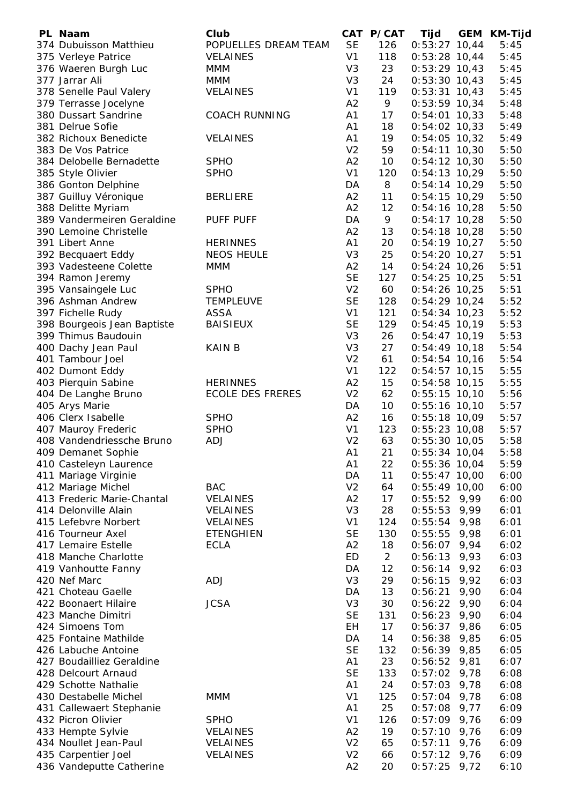| PL Naam                     | Club                    |                | CAT P/CAT      | Tijd            | <b>GEM</b> | KM-Tijd |
|-----------------------------|-------------------------|----------------|----------------|-----------------|------------|---------|
| 374 Dubuisson Matthieu      | POPUELLES DREAM TEAM    | <b>SE</b>      | 126            | $0:53:27$ 10,44 |            | 5:45    |
| 375 Verleye Patrice         | <b>VELAINES</b>         | V <sub>1</sub> | 118            | $0:53:28$ 10,44 |            | 5:45    |
| 376 Waeren Burgh Luc        | <b>MMM</b>              | V <sub>3</sub> | 23             | $0:53:29$ 10,43 |            | 5:45    |
| 377 Jarrar Ali              | <b>MMM</b>              | V <sub>3</sub> | 24             | $0:53:30$ 10,43 |            | 5:45    |
| 378 Senelle Paul Valery     | <b>VELAINES</b>         | V <sub>1</sub> | 119            | $0:53:31$ 10,43 |            | 5:45    |
| 379 Terrasse Jocelyne       |                         | A2             | 9              | $0:53:59$ 10,34 |            | 5:48    |
| 380 Dussart Sandrine        | <b>COACH RUNNING</b>    | A <sub>1</sub> | 17             | $0:54:01$ 10,33 |            | 5:48    |
| 381 Delrue Sofie            |                         | A1             | 18             | $0:54:02$ 10,33 |            | 5:49    |
| 382 Richoux Benedicte       | <b>VELAINES</b>         | A <sub>1</sub> | 19             | $0:54:05$ 10,32 |            | 5:49    |
| 383 De Vos Patrice          |                         | V <sub>2</sub> | 59             | $0:54:11$ 10,30 |            | 5:50    |
| 384 Delobelle Bernadette    | <b>SPHO</b>             | A2             | 10             | $0:54:12$ 10,30 |            | 5:50    |
|                             | <b>SPHO</b>             | V <sub>1</sub> | 120            | $0:54:13$ 10,29 |            | 5:50    |
| 385 Style Olivier           |                         |                |                |                 |            |         |
| 386 Gonton Delphine         |                         | DA             | 8              | $0:54:14$ 10,29 |            | 5:50    |
| 387 Guilluy Véronique       | <b>BERLIERE</b>         | A2             | 11             | $0:54:15$ 10,29 |            | 5:50    |
| 388 Delitte Myriam          |                         | A2             | 12             | $0:54:16$ 10,28 |            | 5:50    |
| 389 Vandermeiren Geraldine  | <b>PUFF PUFF</b>        | DA             | 9              | $0:54:17$ 10,28 |            | 5:50    |
| 390 Lemoine Christelle      |                         | A2             | 13             | $0:54:18$ 10,28 |            | 5:50    |
| 391 Libert Anne             | <b>HERINNES</b>         | A <sub>1</sub> | 20             | $0:54:19$ 10,27 |            | 5:50    |
| 392 Becquaert Eddy          | <b>NEOS HEULE</b>       | V <sub>3</sub> | 25             | $0:54:20$ 10,27 |            | 5:51    |
| 393 Vadesteene Colette      | <b>MMM</b>              | A2             | 14             | $0:54:24$ 10,26 |            | 5:51    |
| 394 Ramon Jeremy            |                         | <b>SE</b>      | 127            | $0:54:25$ 10,25 |            | 5:51    |
| 395 Vansaingele Luc         | <b>SPHO</b>             | V <sub>2</sub> | 60             | $0:54:26$ 10,25 |            | 5:51    |
| 396 Ashman Andrew           | <b>TEMPLEUVE</b>        | <b>SE</b>      | 128            | $0:54:29$ 10,24 |            | 5:52    |
| 397 Fichelle Rudy           | ASSA                    | V <sub>1</sub> | 121            | $0:54:34$ 10,23 |            | 5:52    |
| 398 Bourgeois Jean Baptiste | <b>BAISIEUX</b>         | <b>SE</b>      | 129            | $0:54:45$ 10,19 |            | 5:53    |
| 399 Thimus Baudouin         |                         | V <sub>3</sub> | 26             | $0:54:47$ 10,19 |            | 5:53    |
| 400 Dachy Jean Paul         | <b>KAIN B</b>           | V <sub>3</sub> | 27             | $0:54:49$ 10,18 |            | 5:54    |
| 401 Tambour Joel            |                         | V <sub>2</sub> | 61             | $0:54:54$ 10,16 |            | 5:54    |
| 402 Dumont Eddy             |                         | V <sub>1</sub> | 122            | $0:54:57$ 10,15 |            | 5:55    |
| 403 Pierquin Sabine         | <b>HERINNES</b>         | A2             | 15             | $0:54:58$ 10,15 |            | 5:55    |
| 404 De Langhe Bruno         | <b>ECOLE DES FRERES</b> | V <sub>2</sub> | 62             | $0:55:15$ 10,10 |            | 5:56    |
| 405 Arys Marie              |                         | DA             | 10             | $0:55:16$ 10,10 |            | 5:57    |
| 406 Clerx Isabelle          | <b>SPHO</b>             | A2             | 16             | $0:55:18$ 10,09 |            | 5:57    |
| 407 Mauroy Frederic         | <b>SPHO</b>             | V <sub>1</sub> | 123            | $0:55:23$ 10,08 |            | 5:57    |
| 408 Vandendriessche Bruno   | <b>ADJ</b>              | V <sub>2</sub> | 63             | $0:55:30$ 10,05 |            | 5:58    |
| 409 Demanet Sophie          |                         | A <sub>1</sub> | 21             | $0:55:34$ 10,04 |            |         |
|                             |                         |                |                |                 |            | 5:58    |
| 410 Casteleyn Laurence      |                         | A1             | 22             | 0:55:36 10,04   |            | 5:59    |
| 411 Mariage Virginie        |                         | DA             | 11             | $0:55:47$ 10,00 |            | 6:00    |
| 412 Mariage Michel          | <b>BAC</b>              | V <sub>2</sub> | 64             | $0:55:49$ 10,00 |            | 6:00    |
| 413 Frederic Marie-Chantal  | <b>VELAINES</b>         | A2             | 17             | 0:55:52         | 9,99       | 6:00    |
| 414 Delonville Alain        | <b>VELAINES</b>         | V <sub>3</sub> | 28             | 0:55:53         | 9,99       | 6:01    |
| 415 Lefebvre Norbert        | <b>VELAINES</b>         | V <sub>1</sub> | 124            | 0:55:54         | 9,98       | 6:01    |
| 416 Tourneur Axel           | <b>ETENGHIEN</b>        | <b>SE</b>      | 130            | 0:55:55         | 9,98       | 6:01    |
| 417 Lemaire Estelle         | <b>ECLA</b>             | A2             | 18             | 0:56:07         | 9,94       | 6:02    |
| 418 Manche Charlotte        |                         | ED             | $\overline{2}$ | 0:56:13         | 9,93       | 6:03    |
| 419 Vanhoutte Fanny         |                         | DA             | 12             | 0:56:14         | 9,92       | 6:03    |
| 420 Nef Marc                | ADJ                     | V <sub>3</sub> | 29             | 0:56:15         | 9,92       | 6:03    |
| 421 Choteau Gaelle          |                         | DA             | 13             | 0:56:21         | 9,90       | 6:04    |
| 422 Boonaert Hilaire        | <b>JCSA</b>             | V <sub>3</sub> | 30             | 0:56:22         | 9,90       | 6:04    |
| 423 Manche Dimitri          |                         | <b>SE</b>      | 131            | 0:56:23         | 9,90       | 6:04    |
| 424 Simoens Tom             |                         | EH             | 17             | 0:56:37         | 9,86       | 6:05    |
| 425 Fontaine Mathilde       |                         | DA             | 14             | 0:56:38         | 9,85       | 6:05    |
| 426 Labuche Antoine         |                         | <b>SE</b>      | 132            | 0:56:39         | 9,85       | 6:05    |
| 427 Boudailliez Geraldine   |                         | A1             | 23             | 0:56:52         | 9,81       | 6:07    |
| 428 Delcourt Arnaud         |                         | <b>SE</b>      | 133            | 0:57:02         | 9,78       | 6:08    |
| 429 Schotte Nathalie        |                         | A1             | 24             | 0:57:03         | 9,78       | 6:08    |
| 430 Destabelle Michel       | <b>MMM</b>              | V <sub>1</sub> | 125            | 0:57:04         | 9,78       | 6:08    |
| 431 Callewaert Stephanie    |                         | A1             | 25             | 0:57:08         | 9,77       | 6:09    |
| 432 Picron Olivier          | <b>SPHO</b>             | V <sub>1</sub> | 126            | 0:57:09         | 9,76       | 6:09    |
| 433 Hempte Sylvie           | <b>VELAINES</b>         | A2             | 19             | 0:57:10         | 9,76       | 6:09    |
| 434 Noullet Jean-Paul       | <b>VELAINES</b>         | V <sub>2</sub> | 65             | 0:57:11         | 9,76       |         |
|                             | <b>VELAINES</b>         | V <sub>2</sub> | 66             |                 |            | 6:09    |
| 435 Carpentier Joel         |                         | A2             | 20             | $0:57:12$ 9,76  |            | 6:09    |
| 436 Vandeputte Catherine    |                         |                |                | $0:57:25$ 9,72  |            | 6:10    |